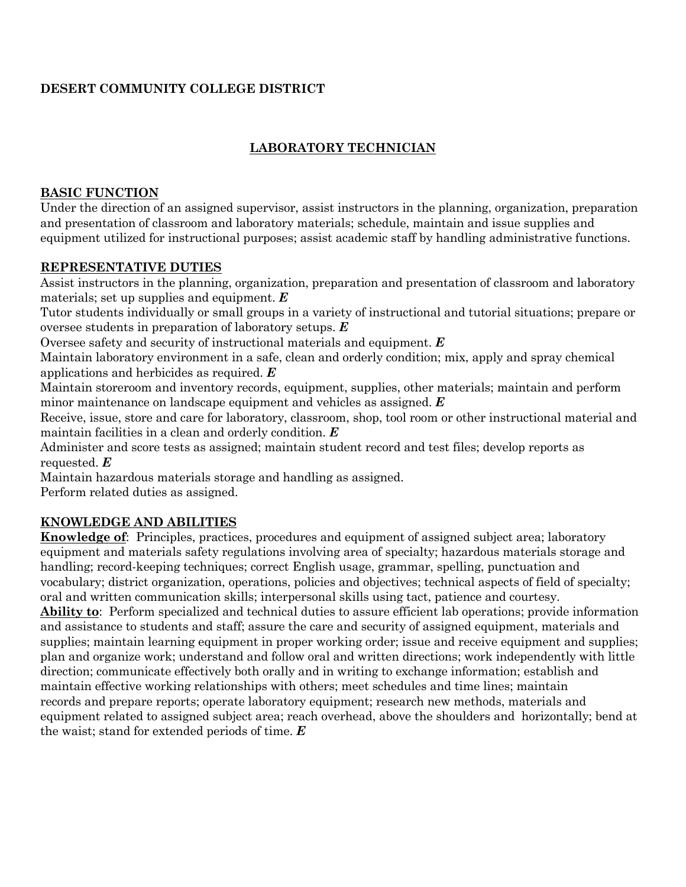### **DESERT COMMUNITY COLLEGE DISTRICT**

# **LABORATORY TECHNICIAN**

### **BASIC FUNCTION**

Under the direction of an assigned supervisor, assist instructors in the planning, organization, preparation and presentation of classroom and laboratory materials; schedule, maintain and issue supplies and equipment utilized for instructional purposes; assist academic staff by handling administrative functions.

### **REPRESENTATIVE DUTIES**

Assist instructors in the planning, organization, preparation and presentation of classroom and laboratory materials; set up supplies and equipment. *E*

Tutor students individually or small groups in a variety of instructional and tutorial situations; prepare or oversee students in preparation of laboratory setups. *E*

Oversee safety and security of instructional materials and equipment. *E*

Maintain laboratory environment in a safe, clean and orderly condition; mix, apply and spray chemical applications and herbicides as required. *E*

Maintain storeroom and inventory records, equipment, supplies, other materials; maintain and perform minor maintenance on landscape equipment and vehicles as assigned. *E*

Receive, issue, store and care for laboratory, classroom, shop, tool room or other instructional material and maintain facilities in a clean and orderly condition. *E*

Administer and score tests as assigned; maintain student record and test files; develop reports as requested. *E*

Maintain hazardous materials storage and handling as assigned.

Perform related duties as assigned.

## **KNOWLEDGE AND ABILITIES**

**Knowledge of**: Principles, practices, procedures and equipment of assigned subject area; laboratory equipment and materials safety regulations involving area of specialty; hazardous materials storage and handling; record-keeping techniques; correct English usage, grammar, spelling, punctuation and vocabulary; district organization, operations, policies and objectives; technical aspects of field of specialty; oral and written communication skills; interpersonal skills using tact, patience and courtesy. **Ability to**: Perform specialized and technical duties to assure efficient lab operations; provide information and assistance to students and staff; assure the care and security of assigned equipment, materials and supplies; maintain learning equipment in proper working order; issue and receive equipment and supplies; plan and organize work; understand and follow oral and written directions; work independently with little direction; communicate effectively both orally and in writing to exchange information; establish and maintain effective working relationships with others; meet schedules and time lines; maintain

records and prepare reports; operate laboratory equipment; research new methods, materials and equipment related to assigned subject area; reach overhead, above the shoulders and horizontally; bend at the waist; stand for extended periods of time. *E*